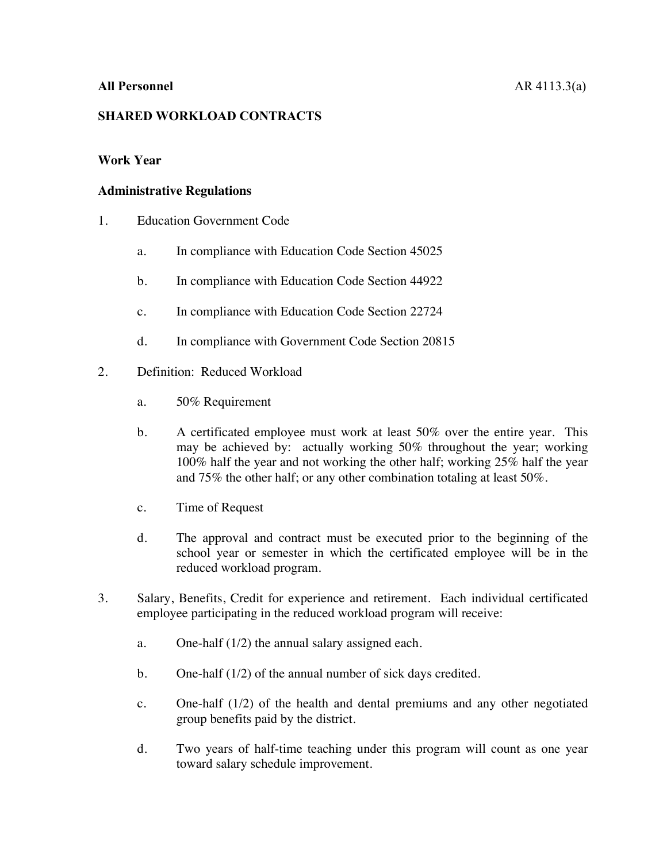## **SHARED WORKLOAD CONTRACTS**

## **Work Year**

## **Administrative Regulations**

- 1. Education Government Code
	- a. In compliance with Education Code Section 45025
	- b. In compliance with Education Code Section 44922
	- c. In compliance with Education Code Section 22724
	- d. In compliance with Government Code Section 20815
- 2. Definition: Reduced Workload
	- a. 50% Requirement
	- b. A certificated employee must work at least 50% over the entire year. This may be achieved by: actually working 50% throughout the year; working 100% half the year and not working the other half; working 25% half the year and 75% the other half; or any other combination totaling at least 50%.
	- c. Time of Request
	- d. The approval and contract must be executed prior to the beginning of the school year or semester in which the certificated employee will be in the reduced workload program.
- 3. Salary, Benefits, Credit for experience and retirement. Each individual certificated employee participating in the reduced workload program will receive:
	- a. One-half (1/2) the annual salary assigned each.
	- b. One-half (1/2) of the annual number of sick days credited.
	- c. One-half (1/2) of the health and dental premiums and any other negotiated group benefits paid by the district.
	- d. Two years of half-time teaching under this program will count as one year toward salary schedule improvement.